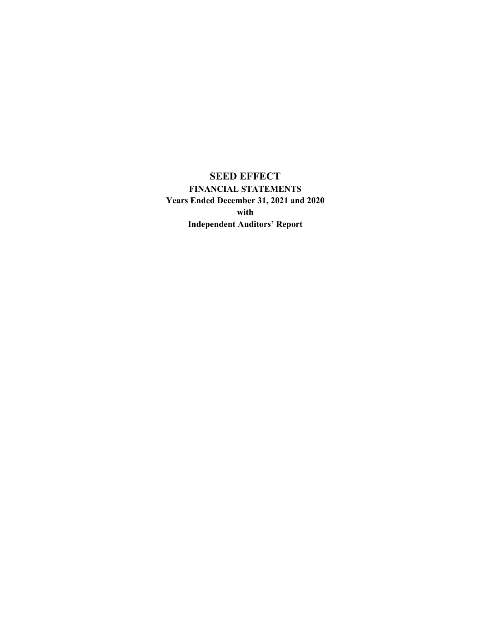**SEED EFFECT FINANCIAL STATEMENTS Years Ended December 31, 2021 and 2020 with Independent Auditors' Report**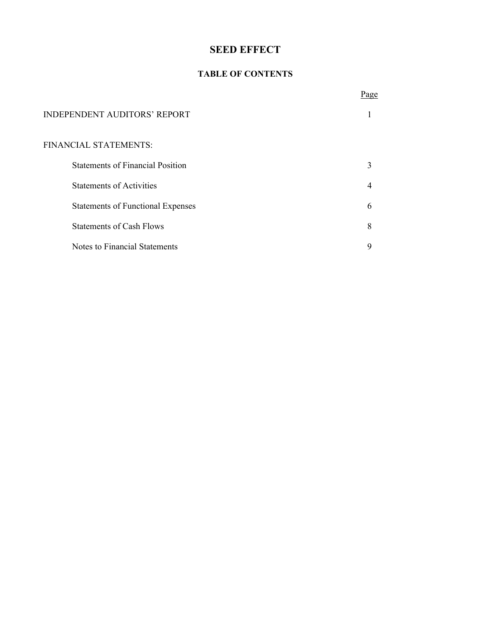# **SEED EFFECT**

# **TABLE OF CONTENTS**

|                                          | Page |
|------------------------------------------|------|
| <b>INDEPENDENT AUDITORS' REPORT</b>      |      |
| <b>FINANCIAL STATEMENTS:</b>             |      |
| <b>Statements of Financial Position</b>  | 3    |
| <b>Statements of Activities</b>          | 4    |
| <b>Statements of Functional Expenses</b> | 6    |
| <b>Statements of Cash Flows</b>          | 8    |
| Notes to Financial Statements            | 9    |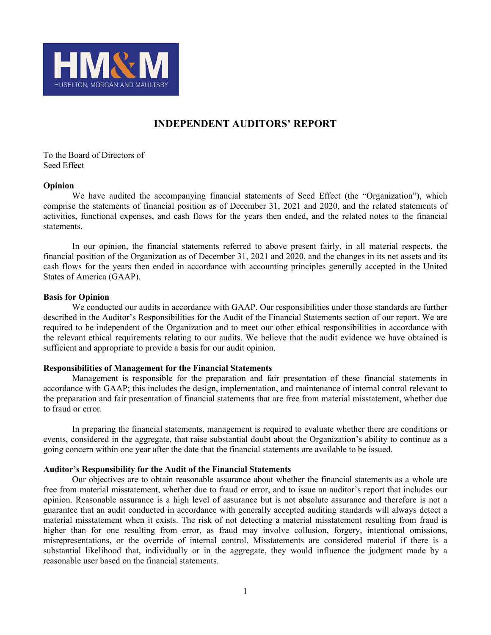

## **INDEPENDENT AUDITORS' REPORT**

To the Board of Directors of Seed Effect

## **Opinion**

We have audited the accompanying financial statements of Seed Effect (the "Organization"), which comprise the statements of financial position as of December 31, 2021 and 2020, and the related statements of activities, functional expenses, and cash flows for the years then ended, and the related notes to the financial statements.

In our opinion, the financial statements referred to above present fairly, in all material respects, the financial position of the Organization as of December 31, 2021 and 2020, and the changes in its net assets and its cash flows for the years then ended in accordance with accounting principles generally accepted in the United States of America (GAAP).

## **Basis for Opinion**

We conducted our audits in accordance with GAAP. Our responsibilities under those standards are further described in the Auditor's Responsibilities for the Audit of the Financial Statements section of our report. We are required to be independent of the Organization and to meet our other ethical responsibilities in accordance with the relevant ethical requirements relating to our audits. We believe that the audit evidence we have obtained is sufficient and appropriate to provide a basis for our audit opinion.

### **Responsibilities of Management for the Financial Statements**

Management is responsible for the preparation and fair presentation of these financial statements in accordance with GAAP; this includes the design, implementation, and maintenance of internal control relevant to the preparation and fair presentation of financial statements that are free from material misstatement, whether due to fraud or error.

In preparing the financial statements, management is required to evaluate whether there are conditions or events, considered in the aggregate, that raise substantial doubt about the Organization's ability to continue as a going concern within one year after the date that the financial statements are available to be issued.

### **Auditor's Responsibility for the Audit of the Financial Statements**

Our objectives are to obtain reasonable assurance about whether the financial statements as a whole are free from material misstatement, whether due to fraud or error, and to issue an auditor's report that includes our opinion. Reasonable assurance is a high level of assurance but is not absolute assurance and therefore is not a guarantee that an audit conducted in accordance with generally accepted auditing standards will always detect a material misstatement when it exists. The risk of not detecting a material misstatement resulting from fraud is higher than for one resulting from error, as fraud may involve collusion, forgery, intentional omissions, misrepresentations, or the override of internal control. Misstatements are considered material if there is a substantial likelihood that, individually or in the aggregate, they would influence the judgment made by a reasonable user based on the financial statements.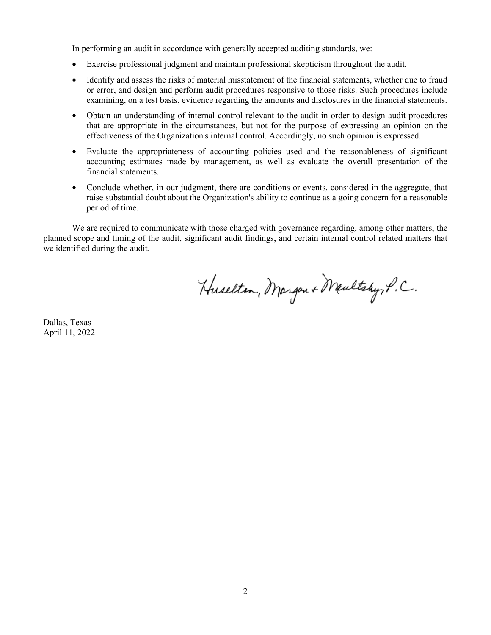In performing an audit in accordance with generally accepted auditing standards, we:

- Exercise professional judgment and maintain professional skepticism throughout the audit.
- Identify and assess the risks of material misstatement of the financial statements, whether due to fraud or error, and design and perform audit procedures responsive to those risks. Such procedures include examining, on a test basis, evidence regarding the amounts and disclosures in the financial statements.
- Obtain an understanding of internal control relevant to the audit in order to design audit procedures that are appropriate in the circumstances, but not for the purpose of expressing an opinion on the effectiveness of the Organization's internal control. Accordingly, no such opinion is expressed.
- Evaluate the appropriateness of accounting policies used and the reasonableness of significant accounting estimates made by management, as well as evaluate the overall presentation of the financial statements.
- Conclude whether, in our judgment, there are conditions or events, considered in the aggregate, that raise substantial doubt about the Organization's ability to continue as a going concern for a reasonable period of time.

We are required to communicate with those charged with governance regarding, among other matters, the planned scope and timing of the audit, significant audit findings, and certain internal control related matters that we identified during the audit.

Huselton, Margan + Maultshy, P.C.

Dallas, Texas April 11, 2022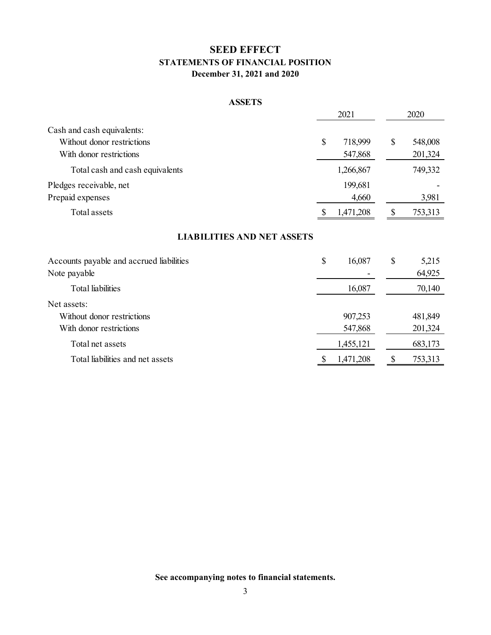# **SEED EFFECT STATEMENTS OF FINANCIAL POSITION December 31, 2021 and 2020**

## **ASSETS**

|                                                                                     | 2021                                |               | 2020               |
|-------------------------------------------------------------------------------------|-------------------------------------|---------------|--------------------|
| Cash and cash equivalents:<br>Without donor restrictions<br>With donor restrictions | $\mathcal{S}$<br>718,999<br>547,868 | $\mathcal{S}$ | 548,008<br>201,324 |
| Total cash and cash equivalents                                                     | 1,266,867                           |               | 749,332            |
| Pledges receivable, net<br>Prepaid expenses                                         | 199,681<br>4,660                    |               | 3,981              |
| Total assets                                                                        | 1,471,208<br>-S                     | \$            | 753,313            |
| <b>LIABILITIES AND NET ASSETS</b>                                                   |                                     |               |                    |
| Accounts payable and accrued liabilities<br>Note payable                            | \$<br>16,087                        | \$            | 5,215<br>64,925    |
| <b>Total</b> liabilities                                                            | 16,087                              |               | 70,140             |
| Net assets:                                                                         |                                     |               |                    |
| Without donor restrictions<br>With donor restrictions                               | 907,253<br>547,868                  |               | 481,849<br>201,324 |
| Total net assets                                                                    | 1,455,121                           |               | 683,173            |

Total liabilities and net assets  $\frac{\$ \quad 1,471,208}{\$ \quad 5,753,313}$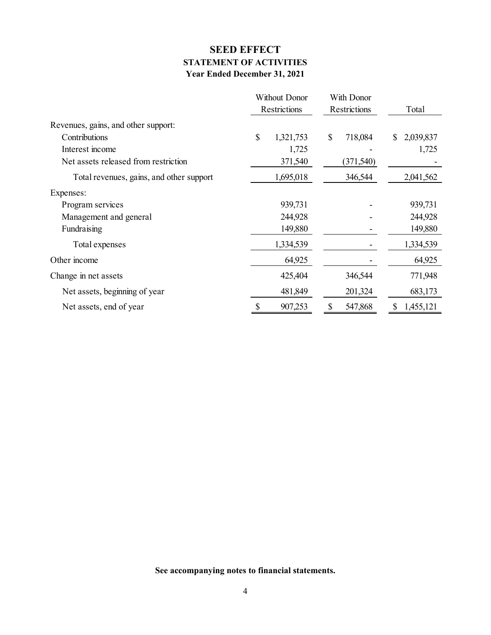# **SEED EFFECT STATEMENT OF ACTIVITIES Year Ended December 31, 2021**

|                                          | Without Donor |           | With Donor   |            |              |           |  |         |  |           |
|------------------------------------------|---------------|-----------|--------------|------------|--------------|-----------|--|---------|--|-----------|
|                                          | Restrictions  |           | Restrictions |            |              | Total     |  |         |  |           |
| Revenues, gains, and other support:      |               |           |              |            |              |           |  |         |  |           |
| Contributions                            | $\mathbb{S}$  | 1,321,753 | $\mathbb{S}$ | 718,084    | $\mathbb{S}$ | 2,039,837 |  |         |  |           |
| Interest income                          |               | 1,725     |              |            |              | 1,725     |  |         |  |           |
| Net assets released from restriction     |               | 371,540   |              | (371, 540) |              |           |  |         |  |           |
| Total revenues, gains, and other support |               | 1,695,018 |              |            |              |           |  | 346,544 |  | 2,041,562 |
| Expenses:                                |               |           |              |            |              |           |  |         |  |           |
| Program services                         |               | 939,731   |              |            |              | 939,731   |  |         |  |           |
| Management and general                   |               | 244,928   |              |            |              | 244,928   |  |         |  |           |
| Fundraising                              |               | 149,880   |              |            |              | 149,880   |  |         |  |           |
| Total expenses                           |               | 1,334,539 |              |            |              | 1,334,539 |  |         |  |           |
| Other income                             |               | 64,925    |              |            |              | 64,925    |  |         |  |           |
| Change in net assets                     |               | 425,404   |              | 346,544    |              | 771,948   |  |         |  |           |
| Net assets, beginning of year            |               | 481,849   |              | 201,324    |              | 683,173   |  |         |  |           |
| Net assets, end of year                  |               | 907,253   |              | 547,868    |              | 1,455,121 |  |         |  |           |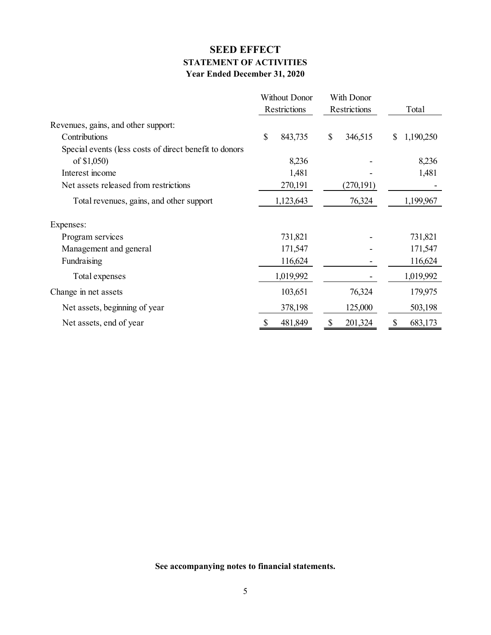# **SEED EFFECT STATEMENT OF ACTIVITIES Year Ended December 31, 2020**

|                                                        | <b>Without Donor</b> |           | With Donor   |            |    |           |
|--------------------------------------------------------|----------------------|-----------|--------------|------------|----|-----------|
|                                                        | Restrictions         |           | Restrictions |            |    | Total     |
| Revenues, gains, and other support:                    |                      |           |              |            |    |           |
| Contributions                                          | \$                   | 843,735   | \$           | 346,515    | S  | 1,190,250 |
| Special events (less costs of direct benefit to donors |                      |           |              |            |    |           |
| of \$1,050)                                            |                      | 8,236     |              |            |    | 8,236     |
| Interest income                                        |                      | 1,481     |              |            |    | 1,481     |
| Net assets released from restrictions                  |                      | 270,191   |              | (270, 191) |    |           |
| Total revenues, gains, and other support               |                      | 1,123,643 |              | 76,324     |    | 1,199,967 |
| Expenses:                                              |                      |           |              |            |    |           |
| Program services                                       |                      | 731,821   |              |            |    | 731,821   |
| Management and general                                 |                      | 171,547   |              |            |    | 171,547   |
| Fundraising                                            |                      | 116,624   |              |            |    | 116,624   |
| Total expenses                                         |                      | 1,019,992 |              |            |    | 1,019,992 |
| Change in net assets                                   |                      | 103,651   |              | 76,324     |    | 179,975   |
| Net assets, beginning of year                          |                      | 378,198   |              | 125,000    |    | 503,198   |
| Net assets, end of year                                |                      | 481,849   |              | 201,324    | \$ | 683,173   |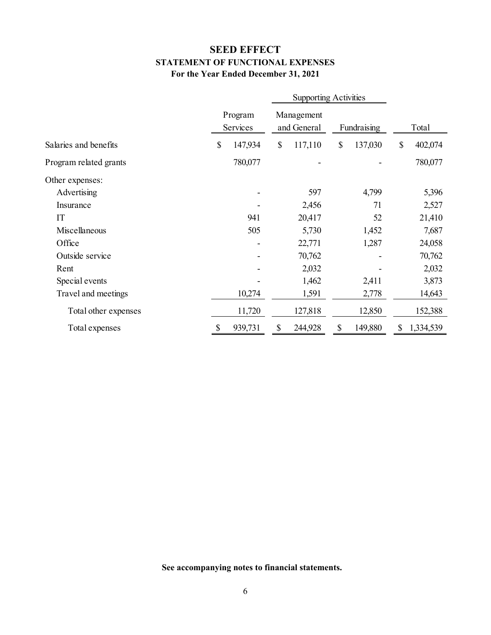# **SEED EFFECT STATEMENT OF FUNCTIONAL EXPENSES For the Year Ended December 31, 2021**

|                        |                     | <b>Supporting Activities</b> |                           |              |             |                 |
|------------------------|---------------------|------------------------------|---------------------------|--------------|-------------|-----------------|
|                        | Program<br>Services |                              | Management<br>and General |              | Fundraising | Total           |
| Salaries and benefits  | \$<br>147,934       | \$                           | 117,110                   | $\mathbb{S}$ | 137,030     | \$<br>402,074   |
| Program related grants | 780,077             |                              |                           |              |             | 780,077         |
| Other expenses:        |                     |                              |                           |              |             |                 |
| Advertising            |                     |                              | 597                       |              | 4,799       | 5,396           |
| Insurance              |                     |                              | 2,456                     |              | 71          | 2,527           |
| IT                     | 941                 |                              | 20,417                    |              | 52          | 21,410          |
| Miscellaneous          | 505                 |                              | 5,730                     |              | 1,452       | 7,687           |
| Office                 |                     |                              | 22,771                    |              | 1,287       | 24,058          |
| Outside service        |                     |                              | 70,762                    |              |             | 70,762          |
| Rent                   |                     |                              | 2,032                     |              |             | 2,032           |
| Special events         |                     |                              | 1,462                     |              | 2,411       | 3,873           |
| Travel and meetings    | 10,274              |                              | 1,591                     |              | 2,778       | 14,643          |
| Total other expenses   | 11,720              |                              | 127,818                   |              | 12,850      | 152,388         |
| Total expenses         | \$<br>939,731       | S                            | 244,928                   | \$           | 149,880     | \$<br>1,334,539 |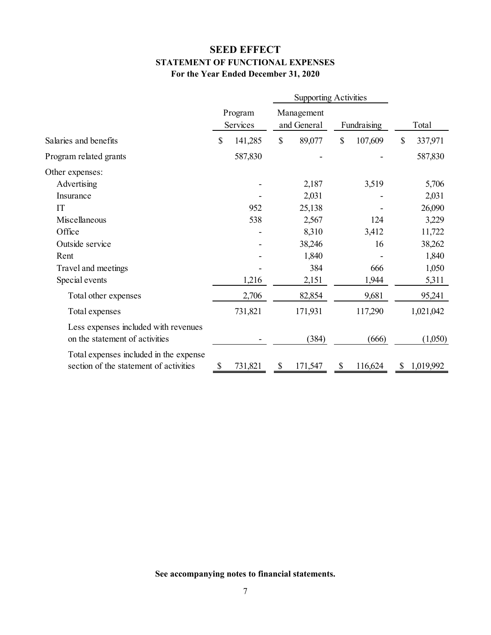# **SEED EFFECT STATEMENT OF FUNCTIONAL EXPENSES For the Year Ended December 31, 2020**

|                                                                                  | <b>Supporting Activities</b> |                     |              |                           |    |             |              |           |
|----------------------------------------------------------------------------------|------------------------------|---------------------|--------------|---------------------------|----|-------------|--------------|-----------|
|                                                                                  |                              | Program<br>Services |              | Management<br>and General |    | Fundraising |              | Total     |
| Salaries and benefits                                                            | \$                           | 141,285             | $\mathbb{S}$ | 89,077                    | \$ | 107,609     | $\mathbb{S}$ | 337,971   |
| Program related grants                                                           |                              | 587,830             |              |                           |    |             |              | 587,830   |
| Other expenses:                                                                  |                              |                     |              |                           |    |             |              |           |
| Advertising                                                                      |                              |                     |              | 2,187                     |    | 3,519       |              | 5,706     |
| Insurance                                                                        |                              |                     |              | 2,031                     |    |             |              | 2,031     |
| IT                                                                               |                              | 952                 |              | 25,138                    |    |             |              | 26,090    |
| Miscellaneous                                                                    |                              | 538                 |              | 2,567                     |    | 124         |              | 3,229     |
| Office                                                                           |                              |                     |              | 8,310                     |    | 3,412       |              | 11,722    |
| Outside service                                                                  |                              |                     |              | 38,246                    |    | 16          |              | 38,262    |
| Rent                                                                             |                              |                     |              | 1,840                     |    |             |              | 1,840     |
| Travel and meetings                                                              |                              |                     |              | 384                       |    | 666         |              | 1,050     |
| Special events                                                                   |                              | 1,216               |              | 2,151                     |    | 1,944       |              | 5,311     |
| Total other expenses                                                             |                              | 2,706               |              | 82,854                    |    | 9,681       |              | 95,241    |
| Total expenses                                                                   |                              | 731,821             |              | 171,931                   |    | 117,290     |              | 1,021,042 |
| Less expenses included with revenues<br>on the statement of activities           |                              |                     |              | (384)                     |    | (666)       |              | (1,050)   |
| Total expenses included in the expense<br>section of the statement of activities | \$                           | 731,821             | \$           | 171,547                   | \$ | 116,624     | \$           | 1,019,992 |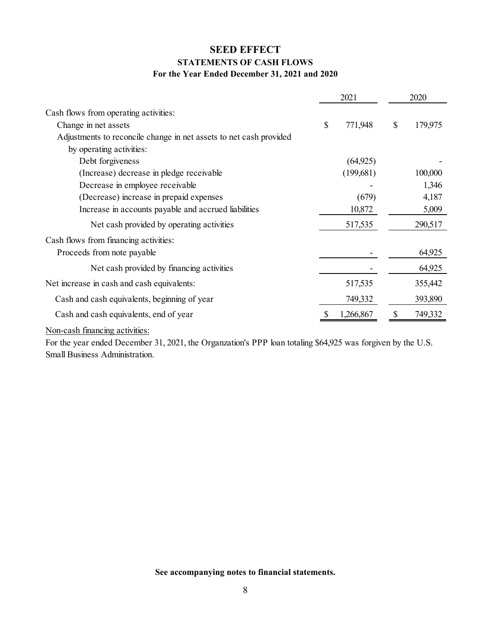## **SEED EFFECT STATEMENTS OF CASH FLOWS For the Year Ended December 31, 2021 and 2020**

|                                                                    |    | 2021      | 2020 |         |  |
|--------------------------------------------------------------------|----|-----------|------|---------|--|
| Cash flows from operating activities:                              |    |           |      |         |  |
| Change in net assets                                               | \$ | 771,948   | \$   | 179,975 |  |
| Adjustments to reconcile change in net assets to net cash provided |    |           |      |         |  |
| by operating activities:                                           |    |           |      |         |  |
| Debt for giveness                                                  |    | (64, 925) |      |         |  |
| (Increase) decrease in pledge receivable                           |    | (199,681) |      | 100,000 |  |
| Decrease in employee receivable                                    |    |           |      | 1,346   |  |
| (Decrease) increase in prepaid expenses                            |    | (679)     |      | 4,187   |  |
| Increase in accounts payable and accrued liabilities               |    | 10,872    |      | 5,009   |  |
| Net cash provided by operating activities                          |    | 517,535   |      | 290,517 |  |
| Cash flows from financing activities:                              |    |           |      |         |  |
| Proceeds from note payable                                         |    |           |      | 64,925  |  |
| Net cash provided by financing activities                          |    |           |      | 64,925  |  |
| Net increase in cash and cash equivalents:                         |    | 517,535   |      | 355,442 |  |
| Cash and cash equivalents, beginning of year                       |    | 749,332   |      | 393,890 |  |
| Cash and cash equivalents, end of year                             | S  | 1,266,867 | S    | 749,332 |  |

Non-cash financing activities:

For the year ended December 31, 2021, the Organzation's PPP loan totaling \$64,925 was forgiven by the U.S. Small Business Administration.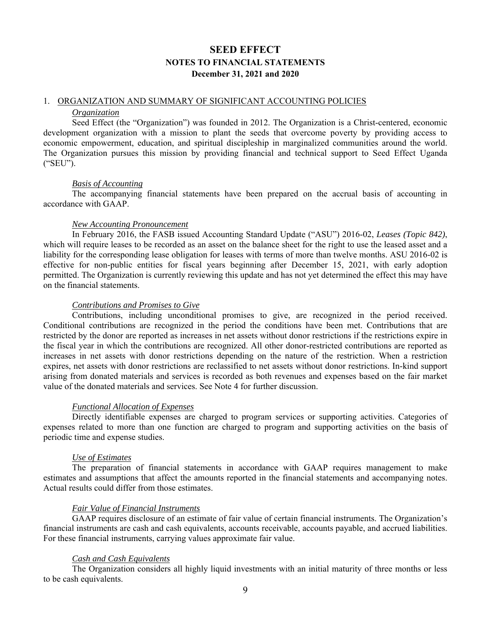## **SEED EFFECT NOTES TO FINANCIAL STATEMENTS December 31, 2021 and 2020**

## 1. ORGANIZATION AND SUMMARY OF SIGNIFICANT ACCOUNTING POLICIES

### *Organization*

Seed Effect (the "Organization") was founded in 2012. The Organization is a Christ-centered, economic development organization with a mission to plant the seeds that overcome poverty by providing access to economic empowerment, education, and spiritual discipleship in marginalized communities around the world. The Organization pursues this mission by providing financial and technical support to Seed Effect Uganda ("SEU").

#### *Basis of Accounting*

The accompanying financial statements have been prepared on the accrual basis of accounting in accordance with GAAP.

#### *New Accounting Pronouncement*

In February 2016, the FASB issued Accounting Standard Update ("ASU") 2016-02, *Leases (Topic 842)*, which will require leases to be recorded as an asset on the balance sheet for the right to use the leased asset and a liability for the corresponding lease obligation for leases with terms of more than twelve months. ASU 2016-02 is effective for non-public entities for fiscal years beginning after December 15, 2021, with early adoption permitted. The Organization is currently reviewing this update and has not yet determined the effect this may have on the financial statements.

### *Contributions and Promises to Give*

Contributions, including unconditional promises to give, are recognized in the period received. Conditional contributions are recognized in the period the conditions have been met. Contributions that are restricted by the donor are reported as increases in net assets without donor restrictions if the restrictions expire in the fiscal year in which the contributions are recognized. All other donor-restricted contributions are reported as increases in net assets with donor restrictions depending on the nature of the restriction. When a restriction expires, net assets with donor restrictions are reclassified to net assets without donor restrictions. In-kind support arising from donated materials and services is recorded as both revenues and expenses based on the fair market value of the donated materials and services. See Note 4 for further discussion.

## *Functional Allocation of Expenses*

Directly identifiable expenses are charged to program services or supporting activities. Categories of expenses related to more than one function are charged to program and supporting activities on the basis of periodic time and expense studies.

#### *Use of Estimates*

The preparation of financial statements in accordance with GAAP requires management to make estimates and assumptions that affect the amounts reported in the financial statements and accompanying notes. Actual results could differ from those estimates.

### *Fair Value of Financial Instruments*

GAAP requires disclosure of an estimate of fair value of certain financial instruments. The Organization's financial instruments are cash and cash equivalents, accounts receivable, accounts payable, and accrued liabilities. For these financial instruments, carrying values approximate fair value.

### *Cash and Cash Equivalents*

The Organization considers all highly liquid investments with an initial maturity of three months or less to be cash equivalents.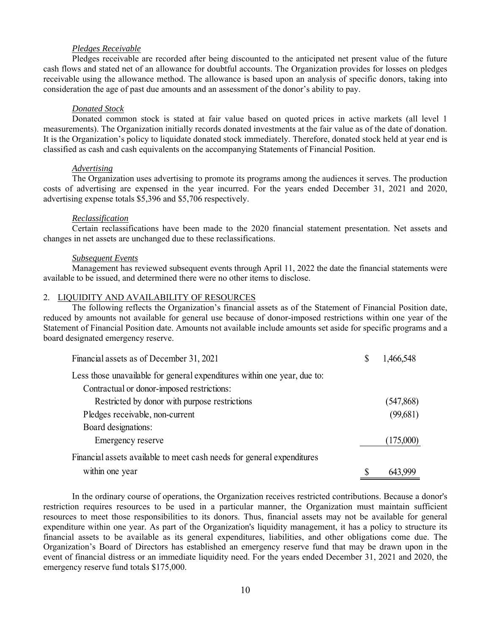## *Pledges Receivable*

 Pledges receivable are recorded after being discounted to the anticipated net present value of the future cash flows and stated net of an allowance for doubtful accounts. The Organization provides for losses on pledges receivable using the allowance method. The allowance is based upon an analysis of specific donors, taking into consideration the age of past due amounts and an assessment of the donor's ability to pay.

### *Donated Stock*

 Donated common stock is stated at fair value based on quoted prices in active markets (all level 1 measurements). The Organization initially records donated investments at the fair value as of the date of donation. It is the Organization's policy to liquidate donated stock immediately. Therefore, donated stock held at year end is classified as cash and cash equivalents on the accompanying Statements of Financial Position.

#### *Advertising*

The Organization uses advertising to promote its programs among the audiences it serves. The production costs of advertising are expensed in the year incurred. For the years ended December 31, 2021 and 2020, advertising expense totals \$5,396 and \$5,706 respectively.

### *Reclassification*

 Certain reclassifications have been made to the 2020 financial statement presentation. Net assets and changes in net assets are unchanged due to these reclassifications.

### *Subsequent Events*

Management has reviewed subsequent events through April 11, 2022 the date the financial statements were available to be issued, and determined there were no other items to disclose.

## 2. LIQUIDITY AND AVAILABILITY OF RESOURCES

 The following reflects the Organization's financial assets as of the Statement of Financial Position date, reduced by amounts not available for general use because of donor-imposed restrictions within one year of the Statement of Financial Position date. Amounts not available include amounts set aside for specific programs and a board designated emergency reserve.

| Financial assets as of December 31, 2021                                 | 1.466.548  |
|--------------------------------------------------------------------------|------------|
| Less those unavailable for general expenditures within one year, due to: |            |
| Contractual or donor-imposed restrictions:                               |            |
| Restricted by donor with purpose restrictions                            | (547, 868) |
| Pledges receivable, non-current                                          | (99,681)   |
| Board designations:                                                      |            |
| Emergency reserve                                                        | (175,000)  |
| Financial assets available to meet cash needs for general expenditures   |            |
| within one year                                                          |            |

 In the ordinary course of operations, the Organization receives restricted contributions. Because a donor's restriction requires resources to be used in a particular manner, the Organization must maintain sufficient resources to meet those responsibilities to its donors. Thus, financial assets may not be available for general expenditure within one year. As part of the Organization's liquidity management, it has a policy to structure its financial assets to be available as its general expenditures, liabilities, and other obligations come due. The Organization's Board of Directors has established an emergency reserve fund that may be drawn upon in the event of financial distress or an immediate liquidity need. For the years ended December 31, 2021 and 2020, the emergency reserve fund totals \$175,000.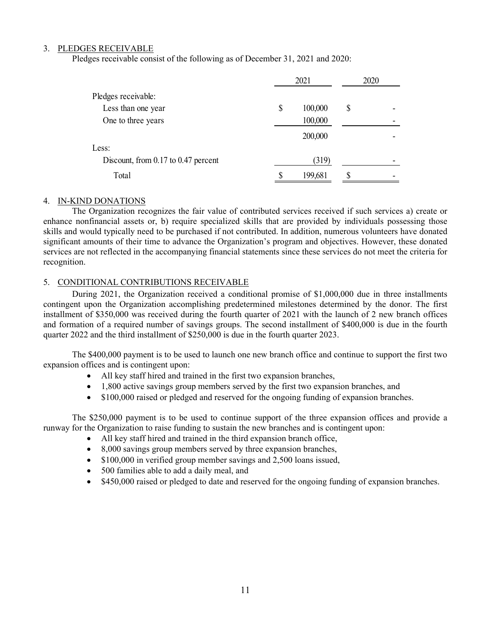## 3. PLEDGES RECEIVABLE

Pledges receivable consist of the following as of December 31, 2021 and 2020:

|                                     | 2021          | 2020 |  |  |
|-------------------------------------|---------------|------|--|--|
| Pledges receivable:                 |               |      |  |  |
| Less than one year                  | \$<br>100,000 | \$   |  |  |
| One to three years                  | 100,000       |      |  |  |
|                                     | 200,000       |      |  |  |
| Less:                               |               |      |  |  |
| Discount, from 0.17 to 0.47 percent | (319)         |      |  |  |
| Total                               | 199,681       |      |  |  |

## 4. IN-KIND DONATIONS

 The Organization recognizes the fair value of contributed services received if such services a) create or enhance nonfinancial assets or, b) require specialized skills that are provided by individuals possessing those skills and would typically need to be purchased if not contributed. In addition, numerous volunteers have donated significant amounts of their time to advance the Organization's program and objectives. However, these donated services are not reflected in the accompanying financial statements since these services do not meet the criteria for recognition.

## 5. CONDITIONAL CONTRIBUTIONS RECEIVABLE

 During 2021, the Organization received a conditional promise of \$1,000,000 due in three installments contingent upon the Organization accomplishing predetermined milestones determined by the donor. The first installment of \$350,000 was received during the fourth quarter of 2021 with the launch of 2 new branch offices and formation of a required number of savings groups. The second installment of \$400,000 is due in the fourth quarter 2022 and the third installment of \$250,000 is due in the fourth quarter 2023.

 The \$400,000 payment is to be used to launch one new branch office and continue to support the first two expansion offices and is contingent upon:

- All key staff hired and trained in the first two expansion branches,
- 1,800 active savings group members served by the first two expansion branches, and
- \$100,000 raised or pledged and reserved for the ongoing funding of expansion branches.

 The \$250,000 payment is to be used to continue support of the three expansion offices and provide a runway for the Organization to raise funding to sustain the new branches and is contingent upon:

- All key staff hired and trained in the third expansion branch office,
- 8,000 savings group members served by three expansion branches,
- \$100,000 in verified group member savings and 2,500 loans issued,
- 500 families able to add a daily meal, and
- \$450,000 raised or pledged to date and reserved for the ongoing funding of expansion branches.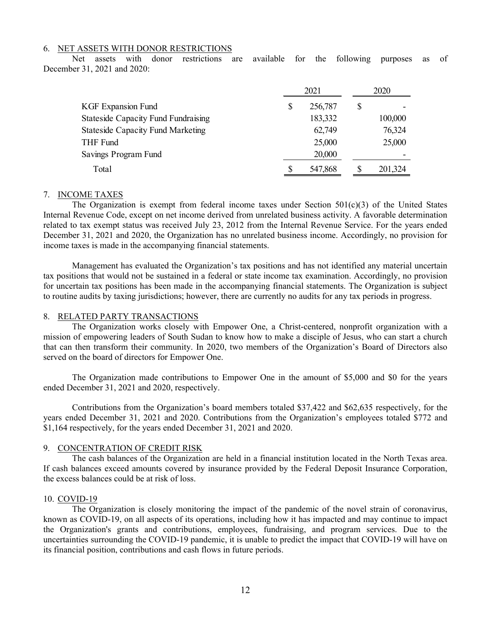#### 6. NET ASSETS WITH DONOR RESTRICTIONS

 Net assets with donor restrictions are available for the following purposes as of December 31, 2021 and 2020:

|                                            |   | 2021    | 2020    |  |  |
|--------------------------------------------|---|---------|---------|--|--|
| <b>KGF Expansion Fund</b>                  | S | 256,787 |         |  |  |
| <b>Stateside Capacity Fund Fundraising</b> |   | 183,332 | 100,000 |  |  |
| <b>Stateside Capacity Fund Marketing</b>   |   | 62,749  | 76,324  |  |  |
| THF Fund                                   |   | 25,000  | 25,000  |  |  |
| Savings Program Fund                       |   | 20,000  |         |  |  |
| Total                                      |   | 547,868 | 201,324 |  |  |
|                                            |   |         |         |  |  |

### 7. INCOME TAXES

The Organization is exempt from federal income taxes under Section  $501(c)(3)$  of the United States Internal Revenue Code, except on net income derived from unrelated business activity. A favorable determination related to tax exempt status was received July 23, 2012 from the Internal Revenue Service. For the years ended December 31, 2021 and 2020, the Organization has no unrelated business income. Accordingly, no provision for income taxes is made in the accompanying financial statements.

 Management has evaluated the Organization's tax positions and has not identified any material uncertain tax positions that would not be sustained in a federal or state income tax examination. Accordingly, no provision for uncertain tax positions has been made in the accompanying financial statements. The Organization is subject to routine audits by taxing jurisdictions; however, there are currently no audits for any tax periods in progress.

#### 8. RELATED PARTY TRANSACTIONS

 The Organization works closely with Empower One, a Christ-centered, nonprofit organization with a mission of empowering leaders of South Sudan to know how to make a disciple of Jesus, who can start a church that can then transform their community. In 2020, two members of the Organization's Board of Directors also served on the board of directors for Empower One.

 The Organization made contributions to Empower One in the amount of \$5,000 and \$0 for the years ended December 31, 2021 and 2020, respectively.

 Contributions from the Organization's board members totaled \$37,422 and \$62,635 respectively, for the years ended December 31, 2021 and 2020. Contributions from the Organization's employees totaled \$772 and \$1,164 respectively, for the years ended December 31, 2021 and 2020.

#### 9. CONCENTRATION OF CREDIT RISK

 The cash balances of the Organization are held in a financial institution located in the North Texas area. If cash balances exceed amounts covered by insurance provided by the Federal Deposit Insurance Corporation, the excess balances could be at risk of loss.

#### 10. COVID-19

The Organization is closely monitoring the impact of the pandemic of the novel strain of coronavirus, known as COVID-19, on all aspects of its operations, including how it has impacted and may continue to impact the Organization's grants and contributions, employees, fundraising, and program services. Due to the uncertainties surrounding the COVID-19 pandemic, it is unable to predict the impact that COVID-19 will have on its financial position, contributions and cash flows in future periods.